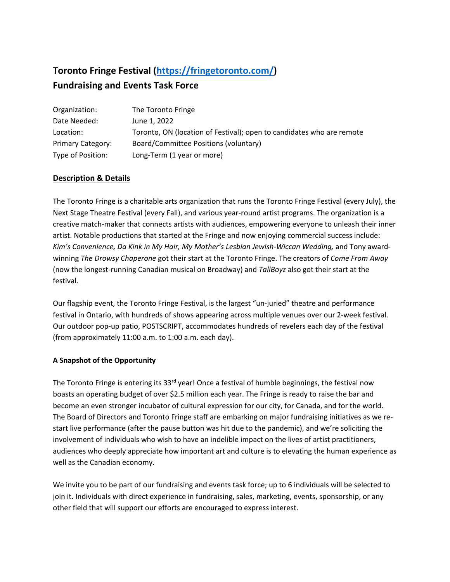# **Toronto Fringe Festival [\(https://fringetoronto.com/\)](https://fringetoronto.com/)**

# **Fundraising and Events Task Force**

| Organization:            | The Toronto Fringe                                                    |
|--------------------------|-----------------------------------------------------------------------|
| Date Needed:             | June 1, 2022                                                          |
| Location:                | Toronto, ON (location of Festival); open to candidates who are remote |
| <b>Primary Category:</b> | Board/Committee Positions (voluntary)                                 |
| Type of Position:        | Long-Term (1 year or more)                                            |

## **Description & Details**

The Toronto Fringe is a charitable arts organization that runs the Toronto Fringe Festival (every July), the Next Stage Theatre Festival (every Fall), and various year-round artist programs. The organization is a creative match-maker that connects artists with audiences, empowering everyone to unleash their inner artist. Notable productions that started at the Fringe and now enjoying commercial success include: Kim's Convenience, Da Kink in My Hair, My Mother's Lesbian Jewish-Wiccan Wedding, and Tony awardwinning *The Drowsy Chaperone* got their start at the Toronto Fringe. The creators of *Come From Away*  (now the longest-running Canadian musical on Broadway) and *TallBoyz* also got their start at the festival.

Our flagship event, the Toronto Fringe Festival, is the largest "un-juried" theatre and performance festival in Ontario, with hundreds of shows appearing across multiple venues over our 2-week festival. Our outdoor pop-up patio, POSTSCRIPT, accommodates hundreds of revelers each day of the festival (from approximately 11:00 a.m. to 1:00 a.m. each day).

### **A Snapshot of the Opportunity**

The Toronto Fringe is entering its 33<sup>rd</sup> year! Once a festival of humble beginnings, the festival now boasts an operating budget of over \$2.5 million each year. The Fringe is ready to raise the bar and become an even stronger incubator of cultural expression for our city, for Canada, and for the world. The Board of Directors and Toronto Fringe staff are embarking on major fundraising initiatives as we restart live performance (after the pause button was hit due to the pandemic), and we're soliciting the involvement of individuals who wish to have an indelible impact on the lives of artist practitioners, audiences who deeply appreciate how important art and culture is to elevating the human experience as well as the Canadian economy.

We invite you to be part of our fundraising and events task force; up to 6 individuals will be selected to join it. Individuals with direct experience in fundraising, sales, marketing, events, sponsorship, or any other field that will support our efforts are encouraged to express interest.